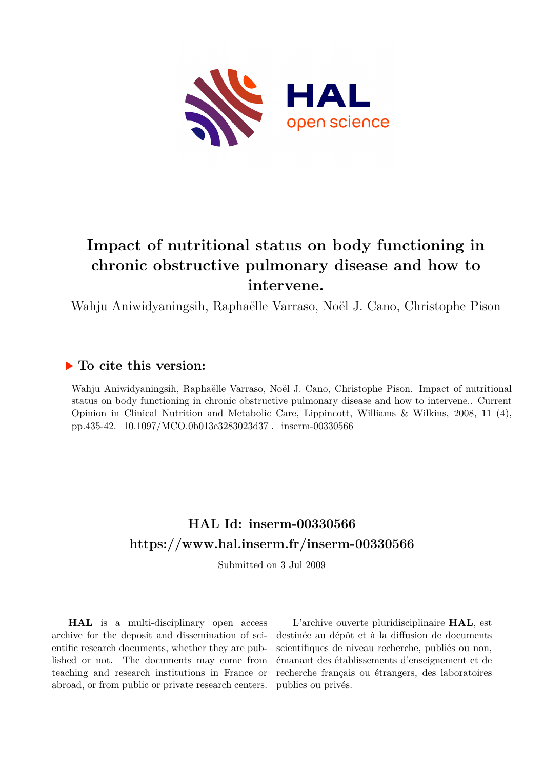

# **Impact of nutritional status on body functioning in chronic obstructive pulmonary disease and how to intervene.**

Wahju Aniwidyaningsih, Raphaëlle Varraso, Noël J. Cano, Christophe Pison

## **To cite this version:**

Wahju Aniwidyaningsih, Raphaëlle Varraso, Noël J. Cano, Christophe Pison. Impact of nutritional status on body functioning in chronic obstructive pulmonary disease and how to intervene.. Current Opinion in Clinical Nutrition and Metabolic Care, Lippincott, Williams & Wilkins, 2008, 11 (4), pp.435-42. 10.1097/MCO.0b013e3283023d37. inserm-00330566

# **HAL Id: inserm-00330566 <https://www.hal.inserm.fr/inserm-00330566>**

Submitted on 3 Jul 2009

**HAL** is a multi-disciplinary open access archive for the deposit and dissemination of scientific research documents, whether they are published or not. The documents may come from teaching and research institutions in France or abroad, or from public or private research centers.

L'archive ouverte pluridisciplinaire **HAL**, est destinée au dépôt et à la diffusion de documents scientifiques de niveau recherche, publiés ou non, émanant des établissements d'enseignement et de recherche français ou étrangers, des laboratoires publics ou privés.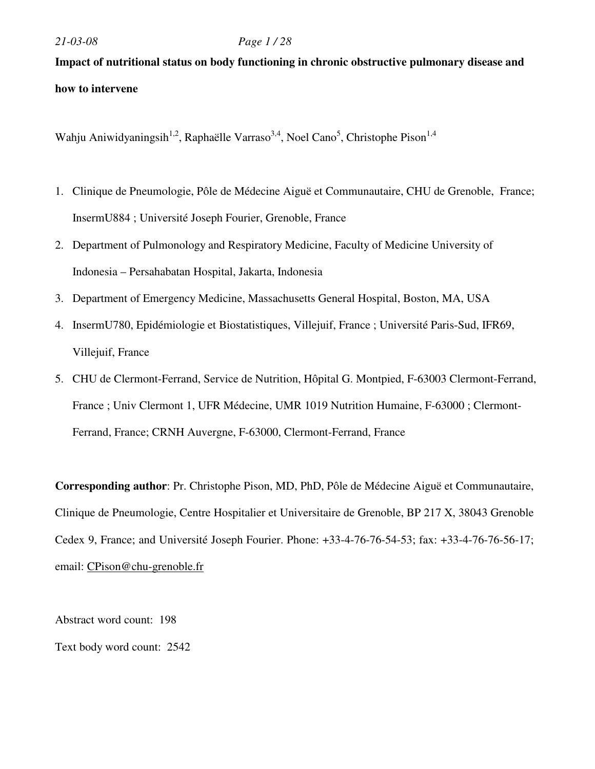## *21-03-08 Page 1 / 28*

# **Impact of nutritional status on body functioning in chronic obstructive pulmonary disease and how to intervene**

Wahju Aniwidyaningsih<sup>1,2</sup>, Raphaëlle Varraso<sup>3,4</sup>, Noel Cano<sup>5</sup>, Christophe Pison<sup>1,4</sup>

- 1. Clinique de Pneumologie, Pôle de Médecine Aiguë et Communautaire, CHU de Grenoble, France; InsermU884 ; Université Joseph Fourier, Grenoble, France
- 2. Department of Pulmonology and Respiratory Medicine, Faculty of Medicine University of Indonesia – Persahabatan Hospital, Jakarta, Indonesia
- 3. Department of Emergency Medicine, Massachusetts General Hospital, Boston, MA, USA
- 4. InsermU780, Epidémiologie et Biostatistiques, Villejuif, France ; Université Paris-Sud, IFR69, Villejuif, France
- 5. CHU de Clermont-Ferrand, Service de Nutrition, Hôpital G. Montpied, F-63003 Clermont-Ferrand, France ; Univ Clermont 1, UFR Médecine, UMR 1019 Nutrition Humaine, F-63000 ; Clermont-Ferrand, France; CRNH Auvergne, F-63000, Clermont-Ferrand, France

**Corresponding author**: Pr. Christophe Pison, MD, PhD, Pôle de Médecine Aiguë et Communautaire, Clinique de Pneumologie, Centre Hospitalier et Universitaire de Grenoble, BP 217 X, 38043 Grenoble Cedex 9, France; and Université Joseph Fourier. Phone: +33-4-76-76-54-53; fax: +33-4-76-76-56-17; email: CPison@chu-grenoble.fr

Abstract word count: 198 Text body word count: 2542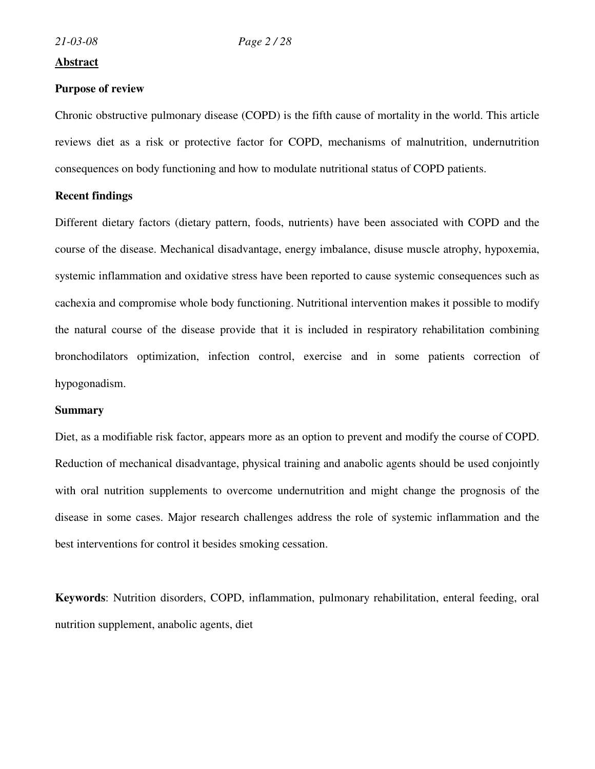## **Abstract**

#### **Purpose of review**

Chronic obstructive pulmonary disease (COPD) is the fifth cause of mortality in the world. This article reviews diet as a risk or protective factor for COPD, mechanisms of malnutrition, undernutrition consequences on body functioning and how to modulate nutritional status of COPD patients.

## **Recent findings**

Different dietary factors (dietary pattern, foods, nutrients) have been associated with COPD and the course of the disease. Mechanical disadvantage, energy imbalance, disuse muscle atrophy, hypoxemia, systemic inflammation and oxidative stress have been reported to cause systemic consequences such as cachexia and compromise whole body functioning. Nutritional intervention makes it possible to modify the natural course of the disease provide that it is included in respiratory rehabilitation combining bronchodilators optimization, infection control, exercise and in some patients correction of hypogonadism.

#### **Summary**

Diet, as a modifiable risk factor, appears more as an option to prevent and modify the course of COPD. Reduction of mechanical disadvantage, physical training and anabolic agents should be used conjointly with oral nutrition supplements to overcome undernutrition and might change the prognosis of the disease in some cases. Major research challenges address the role of systemic inflammation and the best interventions for control it besides smoking cessation.

**Keywords**: Nutrition disorders, COPD, inflammation, pulmonary rehabilitation, enteral feeding, oral nutrition supplement, anabolic agents, diet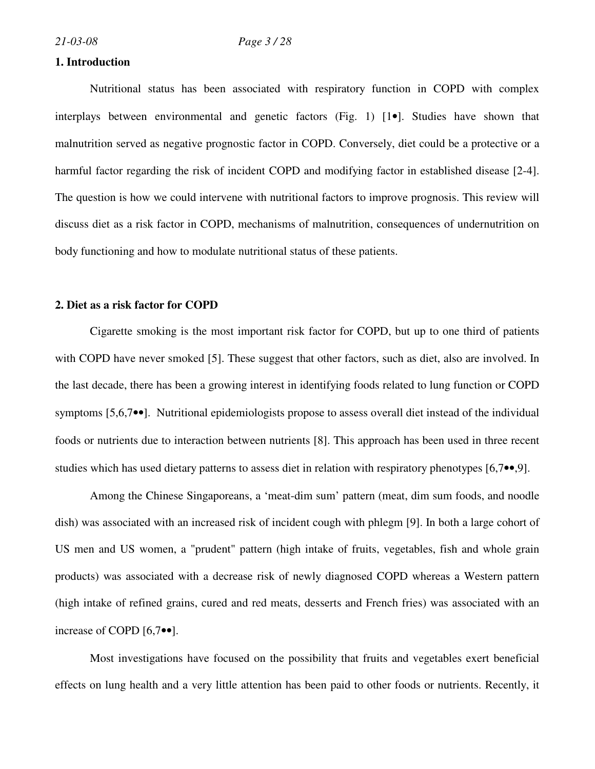#### **1. Introduction**

Nutritional status has been associated with respiratory function in COPD with complex interplays between environmental and genetic factors (Fig. 1) [1•]. Studies have shown that malnutrition served as negative prognostic factor in COPD. Conversely, diet could be a protective or a harmful factor regarding the risk of incident COPD and modifying factor in established disease [2-4]. The question is how we could intervene with nutritional factors to improve prognosis. This review will discuss diet as a risk factor in COPD, mechanisms of malnutrition, consequences of undernutrition on body functioning and how to modulate nutritional status of these patients.

### **2. Diet as a risk factor for COPD**

Cigarette smoking is the most important risk factor for COPD, but up to one third of patients with COPD have never smoked [5]. These suggest that other factors, such as diet, also are involved. In the last decade, there has been a growing interest in identifying foods related to lung function or COPD symptoms [5,6,7••]. Nutritional epidemiologists propose to assess overall diet instead of the individual foods or nutrients due to interaction between nutrients [8]. This approach has been used in three recent studies which has used dietary patterns to assess diet in relation with respiratory phenotypes [6,7••,9].

Among the Chinese Singaporeans, a 'meat-dim sum' pattern (meat, dim sum foods, and noodle dish) was associated with an increased risk of incident cough with phlegm [9]. In both a large cohort of US men and US women, a "prudent" pattern (high intake of fruits, vegetables, fish and whole grain products) was associated with a decrease risk of newly diagnosed COPD whereas a Western pattern (high intake of refined grains, cured and red meats, desserts and French fries) was associated with an increase of COPD [6,7••].

Most investigations have focused on the possibility that fruits and vegetables exert beneficial effects on lung health and a very little attention has been paid to other foods or nutrients. Recently, it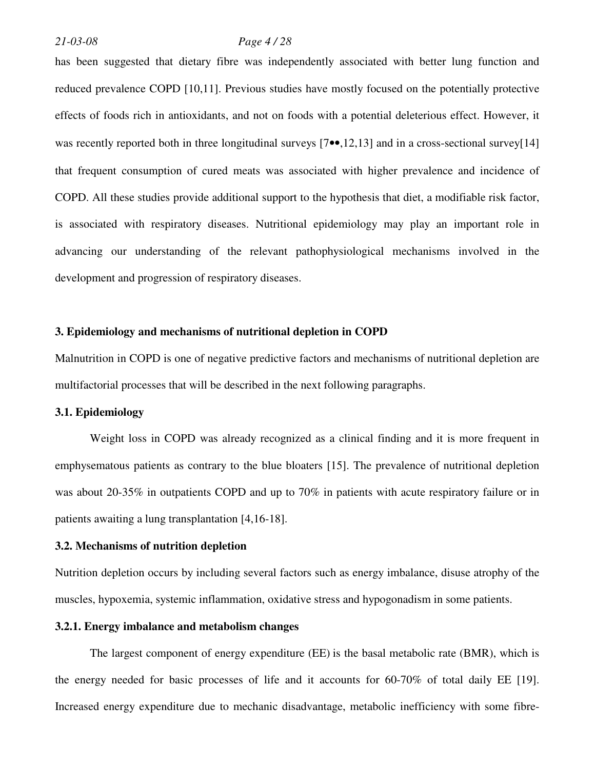#### *21-03-08 Page 4 / 28*

has been suggested that dietary fibre was independently associated with better lung function and reduced prevalence COPD [10,11]. Previous studies have mostly focused on the potentially protective effects of foods rich in antioxidants, and not on foods with a potential deleterious effect. However, it was recently reported both in three longitudinal surveys [7••,12,13] and in a cross-sectional survey[14] that frequent consumption of cured meats was associated with higher prevalence and incidence of COPD. All these studies provide additional support to the hypothesis that diet, a modifiable risk factor, is associated with respiratory diseases. Nutritional epidemiology may play an important role in advancing our understanding of the relevant pathophysiological mechanisms involved in the development and progression of respiratory diseases.

## **3. Epidemiology and mechanisms of nutritional depletion in COPD**

Malnutrition in COPD is one of negative predictive factors and mechanisms of nutritional depletion are multifactorial processes that will be described in the next following paragraphs.

## **3.1. Epidemiology**

Weight loss in COPD was already recognized as a clinical finding and it is more frequent in emphysematous patients as contrary to the blue bloaters [15]. The prevalence of nutritional depletion was about 20-35% in outpatients COPD and up to 70% in patients with acute respiratory failure or in patients awaiting a lung transplantation [4,16-18].

## **3.2. Mechanisms of nutrition depletion**

Nutrition depletion occurs by including several factors such as energy imbalance, disuse atrophy of the muscles, hypoxemia, systemic inflammation, oxidative stress and hypogonadism in some patients.

#### **3.2.1. Energy imbalance and metabolism changes**

The largest component of energy expenditure (EE) is the basal metabolic rate (BMR), which is the energy needed for basic processes of life and it accounts for 60-70% of total daily EE [19]. Increased energy expenditure due to mechanic disadvantage, metabolic inefficiency with some fibre-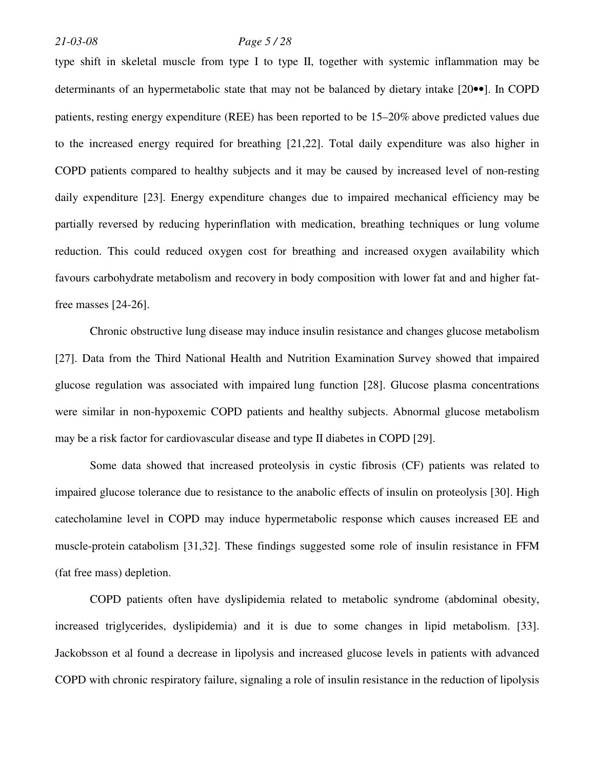## *21-03-08 Page 5 / 28*

type shift in skeletal muscle from type I to type II, together with systemic inflammation may be determinants of an hypermetabolic state that may not be balanced by dietary intake [20••]. In COPD patients, resting energy expenditure (REE) has been reported to be 15–20% above predicted values due to the increased energy required for breathing [21,22]. Total daily expenditure was also higher in COPD patients compared to healthy subjects and it may be caused by increased level of non-resting daily expenditure [23]. Energy expenditure changes due to impaired mechanical efficiency may be partially reversed by reducing hyperinflation with medication, breathing techniques or lung volume reduction. This could reduced oxygen cost for breathing and increased oxygen availability which favours carbohydrate metabolism and recovery in body composition with lower fat and and higher fatfree masses [24-26].

Chronic obstructive lung disease may induce insulin resistance and changes glucose metabolism [27]. Data from the Third National Health and Nutrition Examination Survey showed that impaired glucose regulation was associated with impaired lung function [28]. Glucose plasma concentrations were similar in non-hypoxemic COPD patients and healthy subjects. Abnormal glucose metabolism may be a risk factor for cardiovascular disease and type II diabetes in COPD [29].

Some data showed that increased proteolysis in cystic fibrosis (CF) patients was related to impaired glucose tolerance due to resistance to the anabolic effects of insulin on proteolysis [30]. High catecholamine level in COPD may induce hypermetabolic response which causes increased EE and muscle-protein catabolism [31,32]. These findings suggested some role of insulin resistance in FFM (fat free mass) depletion.

COPD patients often have dyslipidemia related to metabolic syndrome (abdominal obesity, increased triglycerides, dyslipidemia) and it is due to some changes in lipid metabolism. [33]. Jackobsson et al found a decrease in lipolysis and increased glucose levels in patients with advanced COPD with chronic respiratory failure, signaling a role of insulin resistance in the reduction of lipolysis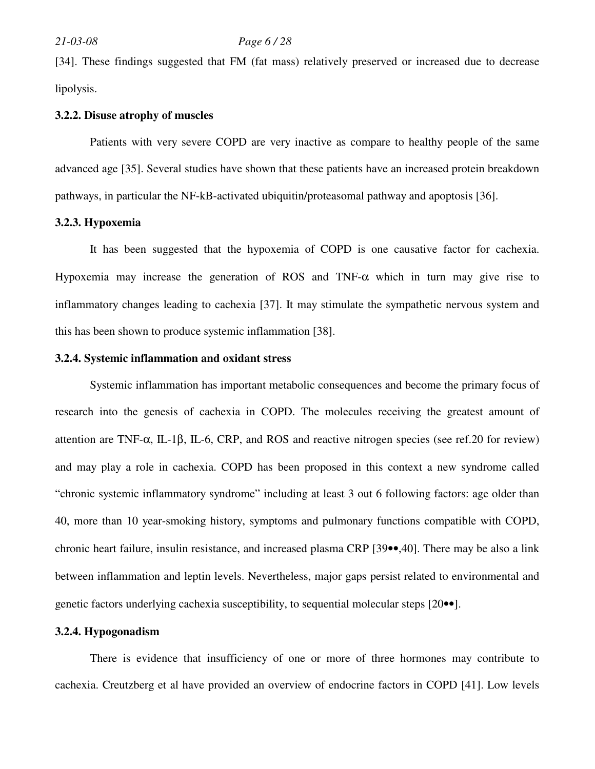## *21-03-08 Page 6 / 28*

[34]. These findings suggested that FM (fat mass) relatively preserved or increased due to decrease lipolysis.

#### **3.2.2. Disuse atrophy of muscles**

Patients with very severe COPD are very inactive as compare to healthy people of the same advanced age [35]. Several studies have shown that these patients have an increased protein breakdown pathways, in particular the NF-kB-activated ubiquitin/proteasomal pathway and apoptosis [36].

#### **3.2.3. Hypoxemia**

It has been suggested that the hypoxemia of COPD is one causative factor for cachexia. Hypoxemia may increase the generation of ROS and TNF- $\alpha$  which in turn may give rise to inflammatory changes leading to cachexia [37]. It may stimulate the sympathetic nervous system and this has been shown to produce systemic inflammation [38].

## **3.2.4. Systemic inflammation and oxidant stress**

Systemic inflammation has important metabolic consequences and become the primary focus of research into the genesis of cachexia in COPD. The molecules receiving the greatest amount of attention are TNF-α, IL-1β, IL-6, CRP, and ROS and reactive nitrogen species (see ref.20 for review) and may play a role in cachexia. COPD has been proposed in this context a new syndrome called "chronic systemic inflammatory syndrome" including at least 3 out 6 following factors: age older than 40, more than 10 year-smoking history, symptoms and pulmonary functions compatible with COPD, chronic heart failure, insulin resistance, and increased plasma CRP [39••,40]. There may be also a link between inflammation and leptin levels. Nevertheless, major gaps persist related to environmental and genetic factors underlying cachexia susceptibility, to sequential molecular steps [20••].

## **3.2.4. Hypogonadism**

 There is evidence that insufficiency of one or more of three hormones may contribute to cachexia. Creutzberg et al have provided an overview of endocrine factors in COPD [41]. Low levels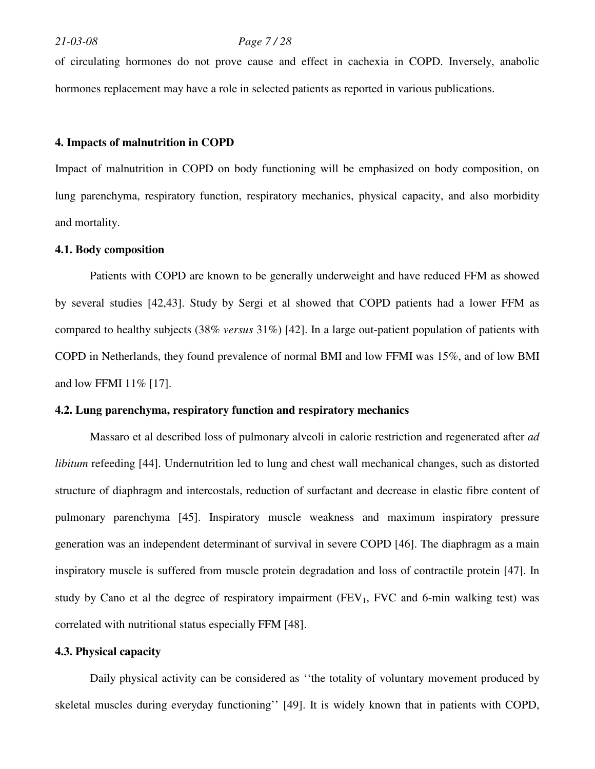#### *21-03-08 Page 7 / 28*

of circulating hormones do not prove cause and effect in cachexia in COPD. Inversely, anabolic hormones replacement may have a role in selected patients as reported in various publications.

#### **4. Impacts of malnutrition in COPD**

Impact of malnutrition in COPD on body functioning will be emphasized on body composition, on lung parenchyma, respiratory function, respiratory mechanics, physical capacity, and also morbidity and mortality.

## **4.1. Body composition**

Patients with COPD are known to be generally underweight and have reduced FFM as showed by several studies [42,43]. Study by Sergi et al showed that COPD patients had a lower FFM as compared to healthy subjects (38% *versus* 31%) [42]. In a large out-patient population of patients with COPD in Netherlands, they found prevalence of normal BMI and low FFMI was 15%, and of low BMI and low FFMI 11% [17].

#### **4.2. Lung parenchyma, respiratory function and respiratory mechanics**

Massaro et al described loss of pulmonary alveoli in calorie restriction and regenerated after *ad libitum* refeeding [44]. Undernutrition led to lung and chest wall mechanical changes, such as distorted structure of diaphragm and intercostals, reduction of surfactant and decrease in elastic fibre content of pulmonary parenchyma [45]. Inspiratory muscle weakness and maximum inspiratory pressure generation was an independent determinant of survival in severe COPD [46]. The diaphragm as a main inspiratory muscle is suffered from muscle protein degradation and loss of contractile protein [47]. In study by Cano et al the degree of respiratory impairment ( $FEV_1$ ,  $FVC$  and 6-min walking test) was correlated with nutritional status especially FFM [48].

## **4.3. Physical capacity**

Daily physical activity can be considered as ''the totality of voluntary movement produced by skeletal muscles during everyday functioning'' [49]. It is widely known that in patients with COPD,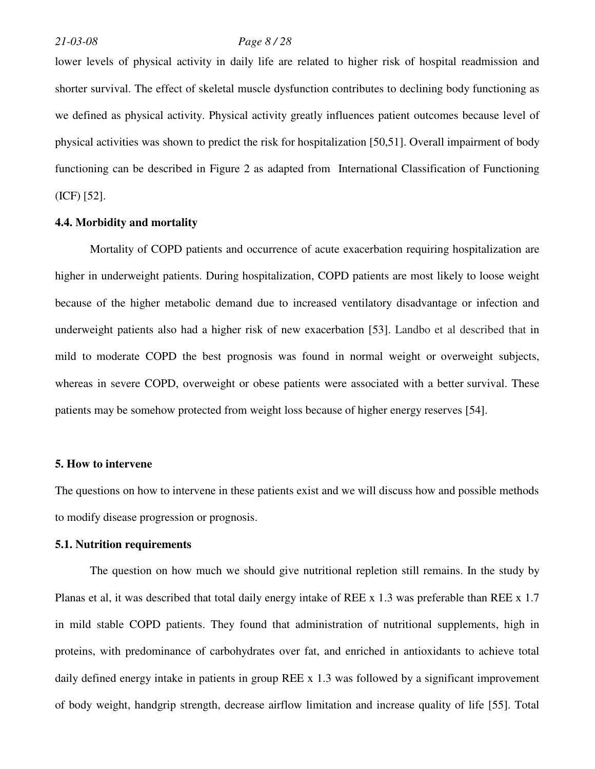#### *21-03-08 Page 8 / 28*

lower levels of physical activity in daily life are related to higher risk of hospital readmission and shorter survival. The effect of skeletal muscle dysfunction contributes to declining body functioning as we defined as physical activity. Physical activity greatly influences patient outcomes because level of physical activities was shown to predict the risk for hospitalization [50,51]. Overall impairment of body functioning can be described in Figure 2 as adapted from International Classification of Functioning (ICF) [52].

#### **4.4. Morbidity and mortality**

Mortality of COPD patients and occurrence of acute exacerbation requiring hospitalization are higher in underweight patients. During hospitalization, COPD patients are most likely to loose weight because of the higher metabolic demand due to increased ventilatory disadvantage or infection and underweight patients also had a higher risk of new exacerbation [53]. Landbo et al described that in mild to moderate COPD the best prognosis was found in normal weight or overweight subjects, whereas in severe COPD, overweight or obese patients were associated with a better survival. These patients may be somehow protected from weight loss because of higher energy reserves [54].

#### **5. How to intervene**

The questions on how to intervene in these patients exist and we will discuss how and possible methods to modify disease progression or prognosis.

## **5.1. Nutrition requirements**

The question on how much we should give nutritional repletion still remains. In the study by Planas et al, it was described that total daily energy intake of REE x 1.3 was preferable than REE x 1.7 in mild stable COPD patients. They found that administration of nutritional supplements, high in proteins, with predominance of carbohydrates over fat, and enriched in antioxidants to achieve total daily defined energy intake in patients in group REE x 1.3 was followed by a significant improvement of body weight, handgrip strength, decrease airflow limitation and increase quality of life [55]. Total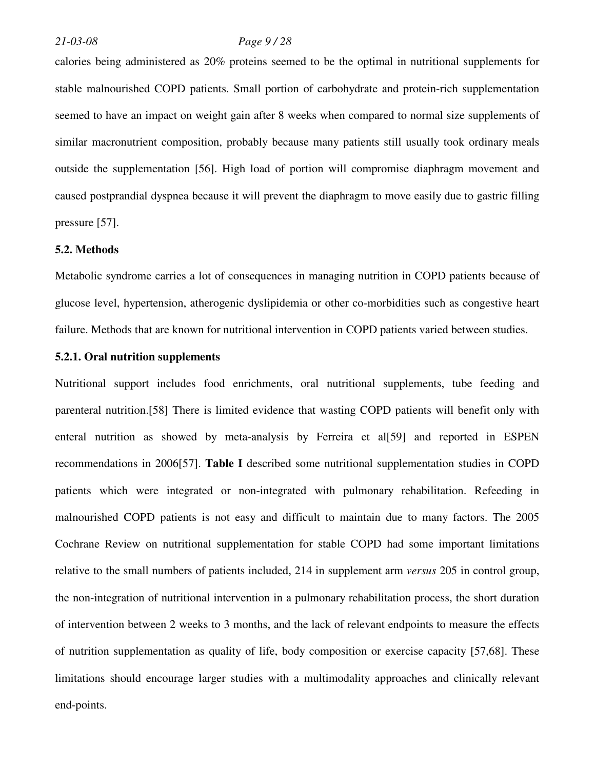## *21-03-08 Page 9 / 28*

calories being administered as 20% proteins seemed to be the optimal in nutritional supplements for stable malnourished COPD patients. Small portion of carbohydrate and protein-rich supplementation seemed to have an impact on weight gain after 8 weeks when compared to normal size supplements of similar macronutrient composition, probably because many patients still usually took ordinary meals outside the supplementation [56]. High load of portion will compromise diaphragm movement and caused postprandial dyspnea because it will prevent the diaphragm to move easily due to gastric filling pressure [57].

#### **5.2. Methods**

Metabolic syndrome carries a lot of consequences in managing nutrition in COPD patients because of glucose level, hypertension, atherogenic dyslipidemia or other co-morbidities such as congestive heart failure. Methods that are known for nutritional intervention in COPD patients varied between studies.

## **5.2.1. Oral nutrition supplements**

Nutritional support includes food enrichments, oral nutritional supplements, tube feeding and parenteral nutrition.[58] There is limited evidence that wasting COPD patients will benefit only with enteral nutrition as showed by meta-analysis by Ferreira et al[59] and reported in ESPEN recommendations in 2006[57]. **Table I** described some nutritional supplementation studies in COPD patients which were integrated or non-integrated with pulmonary rehabilitation. Refeeding in malnourished COPD patients is not easy and difficult to maintain due to many factors. The 2005 Cochrane Review on nutritional supplementation for stable COPD had some important limitations relative to the small numbers of patients included, 214 in supplement arm *versus* 205 in control group, the non-integration of nutritional intervention in a pulmonary rehabilitation process, the short duration of intervention between 2 weeks to 3 months, and the lack of relevant endpoints to measure the effects of nutrition supplementation as quality of life, body composition or exercise capacity [57,68]. These limitations should encourage larger studies with a multimodality approaches and clinically relevant end-points.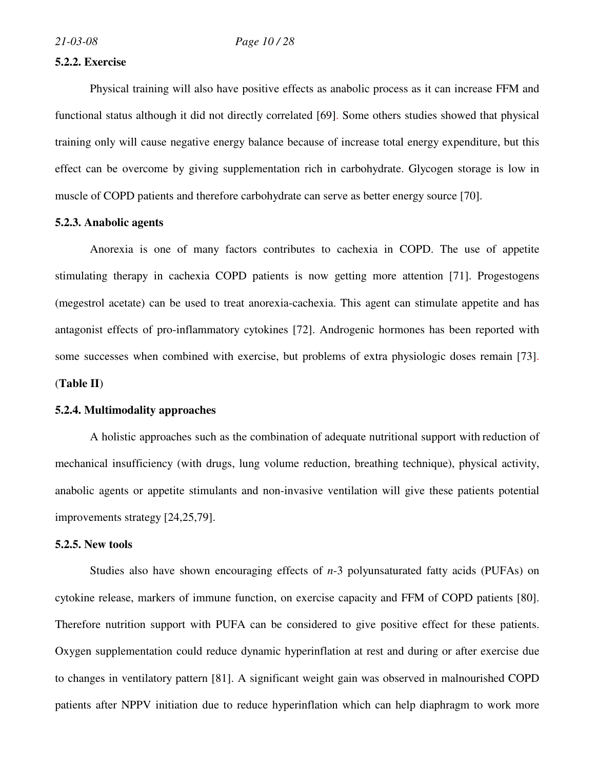#### **5.2.2. Exercise**

Physical training will also have positive effects as anabolic process as it can increase FFM and functional status although it did not directly correlated [69]. Some others studies showed that physical training only will cause negative energy balance because of increase total energy expenditure, but this effect can be overcome by giving supplementation rich in carbohydrate. Glycogen storage is low in muscle of COPD patients and therefore carbohydrate can serve as better energy source [70].

#### **5.2.3. Anabolic agents**

Anorexia is one of many factors contributes to cachexia in COPD. The use of appetite stimulating therapy in cachexia COPD patients is now getting more attention [71]. Progestogens (megestrol acetate) can be used to treat anorexia-cachexia. This agent can stimulate appetite and has antagonist effects of pro-inflammatory cytokines [72]. Androgenic hormones has been reported with some successes when combined with exercise, but problems of extra physiologic doses remain [73]. (**Table II**)

#### **5.2.4. Multimodality approaches**

A holistic approaches such as the combination of adequate nutritional support with reduction of mechanical insufficiency (with drugs, lung volume reduction, breathing technique), physical activity, anabolic agents or appetite stimulants and non-invasive ventilation will give these patients potential improvements strategy [24,25,79].

### **5.2.5. New tools**

Studies also have shown encouraging effects of *n*-3 polyunsaturated fatty acids (PUFAs) on cytokine release, markers of immune function, on exercise capacity and FFM of COPD patients [80]. Therefore nutrition support with PUFA can be considered to give positive effect for these patients. Oxygen supplementation could reduce dynamic hyperinflation at rest and during or after exercise due to changes in ventilatory pattern [81]. A significant weight gain was observed in malnourished COPD patients after NPPV initiation due to reduce hyperinflation which can help diaphragm to work more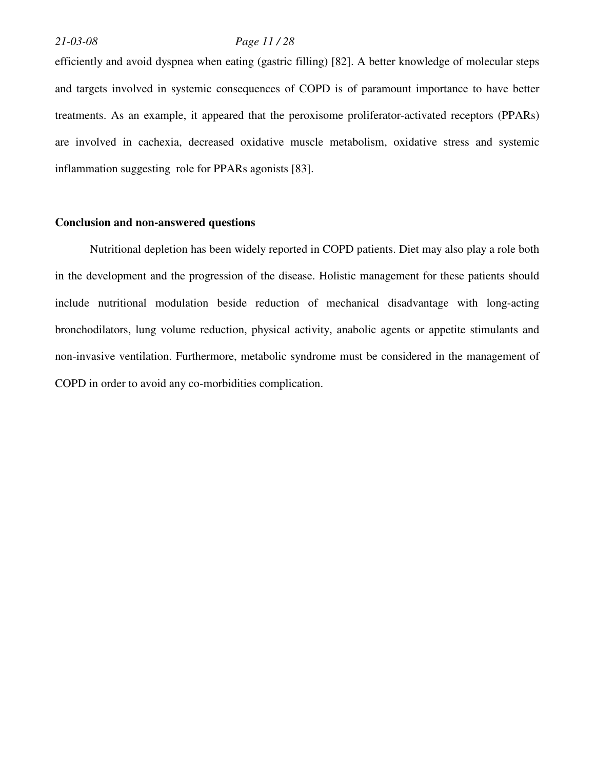## *21-03-08 Page 11 / 28*

efficiently and avoid dyspnea when eating (gastric filling) [82]. A better knowledge of molecular steps and targets involved in systemic consequences of COPD is of paramount importance to have better treatments. As an example, it appeared that the peroxisome proliferator-activated receptors (PPARs) are involved in cachexia, decreased oxidative muscle metabolism, oxidative stress and systemic inflammation suggesting role for PPARs agonists [83].

### **Conclusion and non-answered questions**

Nutritional depletion has been widely reported in COPD patients. Diet may also play a role both in the development and the progression of the disease. Holistic management for these patients should include nutritional modulation beside reduction of mechanical disadvantage with long-acting bronchodilators, lung volume reduction, physical activity, anabolic agents or appetite stimulants and non-invasive ventilation. Furthermore, metabolic syndrome must be considered in the management of COPD in order to avoid any co-morbidities complication.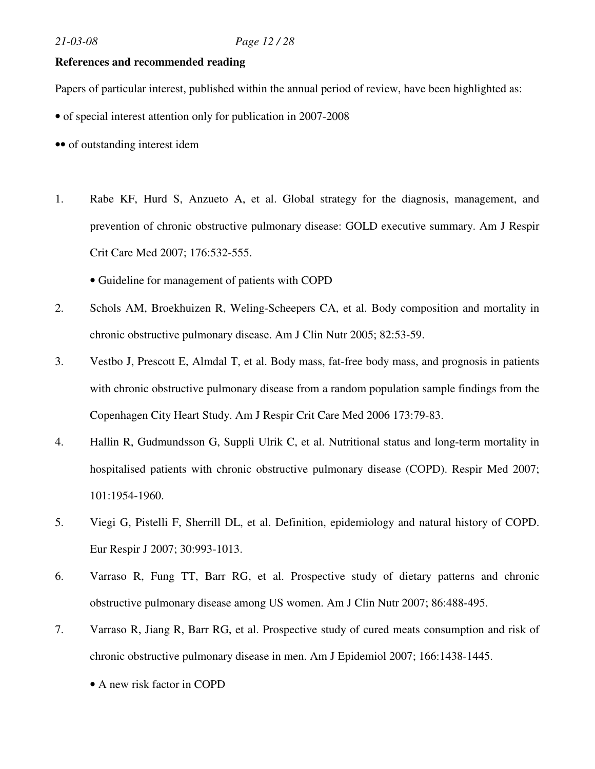## **References and recommended reading**

Papers of particular interest, published within the annual period of review, have been highlighted as:

• of special interest attention only for publication in 2007-2008

•• of outstanding interest idem

1. Rabe KF, Hurd S, Anzueto A, et al. Global strategy for the diagnosis, management, and prevention of chronic obstructive pulmonary disease: GOLD executive summary. Am J Respir Crit Care Med 2007; 176:532-555.

• Guideline for management of patients with COPD

- 2. Schols AM, Broekhuizen R, Weling-Scheepers CA, et al. Body composition and mortality in chronic obstructive pulmonary disease. Am J Clin Nutr 2005; 82:53-59.
- 3. Vestbo J, Prescott E, Almdal T, et al. Body mass, fat-free body mass, and prognosis in patients with chronic obstructive pulmonary disease from a random population sample findings from the Copenhagen City Heart Study. Am J Respir Crit Care Med 2006 173:79-83.
- 4. Hallin R, Gudmundsson G, Suppli Ulrik C, et al. Nutritional status and long-term mortality in hospitalised patients with chronic obstructive pulmonary disease (COPD). Respir Med 2007; 101:1954-1960.
- 5. Viegi G, Pistelli F, Sherrill DL, et al. Definition, epidemiology and natural history of COPD. Eur Respir J 2007; 30:993-1013.
- 6. Varraso R, Fung TT, Barr RG, et al. Prospective study of dietary patterns and chronic obstructive pulmonary disease among US women. Am J Clin Nutr 2007; 86:488-495.
- 7. Varraso R, Jiang R, Barr RG, et al. Prospective study of cured meats consumption and risk of chronic obstructive pulmonary disease in men. Am J Epidemiol 2007; 166:1438-1445.
	- A new risk factor in COPD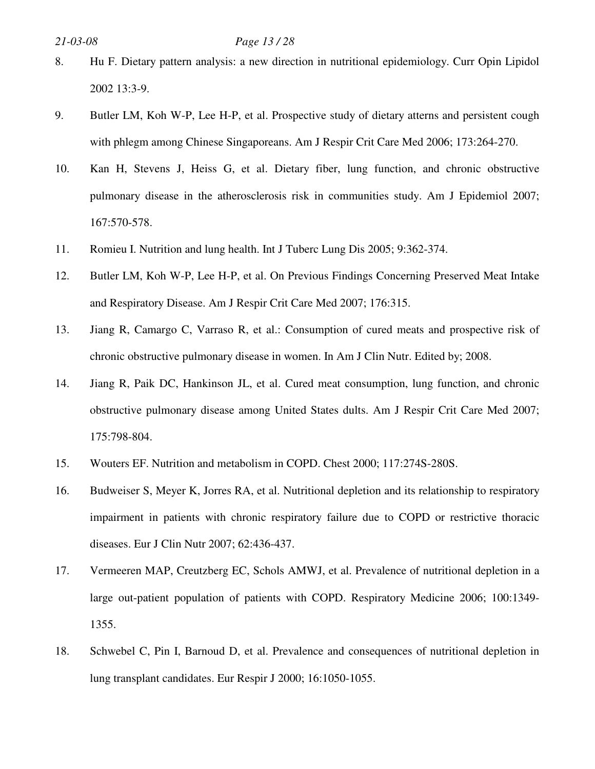## *21-03-08 Page 13 / 28*

- 8. Hu F. Dietary pattern analysis: a new direction in nutritional epidemiology. Curr Opin Lipidol 2002 13:3-9.
- 9. Butler LM, Koh W-P, Lee H-P, et al. Prospective study of dietary atterns and persistent cough with phlegm among Chinese Singaporeans. Am J Respir Crit Care Med 2006; 173:264-270.
- 10. Kan H, Stevens J, Heiss G, et al. Dietary fiber, lung function, and chronic obstructive pulmonary disease in the atherosclerosis risk in communities study. Am J Epidemiol 2007; 167:570-578.
- 11. Romieu I. Nutrition and lung health. Int J Tuberc Lung Dis 2005; 9:362-374.
- 12. Butler LM, Koh W-P, Lee H-P, et al. On Previous Findings Concerning Preserved Meat Intake and Respiratory Disease. Am J Respir Crit Care Med 2007; 176:315.
- 13. Jiang R, Camargo C, Varraso R, et al.: Consumption of cured meats and prospective risk of chronic obstructive pulmonary disease in women. In Am J Clin Nutr. Edited by; 2008.
- 14. Jiang R, Paik DC, Hankinson JL, et al. Cured meat consumption, lung function, and chronic obstructive pulmonary disease among United States dults. Am J Respir Crit Care Med 2007; 175:798-804.
- 15. Wouters EF. Nutrition and metabolism in COPD. Chest 2000; 117:274S-280S.
- 16. Budweiser S, Meyer K, Jorres RA, et al. Nutritional depletion and its relationship to respiratory impairment in patients with chronic respiratory failure due to COPD or restrictive thoracic diseases. Eur J Clin Nutr 2007; 62:436-437.
- 17. Vermeeren MAP, Creutzberg EC, Schols AMWJ, et al. Prevalence of nutritional depletion in a large out-patient population of patients with COPD. Respiratory Medicine 2006; 100:1349- 1355.
- 18. Schwebel C, Pin I, Barnoud D, et al. Prevalence and consequences of nutritional depletion in lung transplant candidates. Eur Respir J 2000; 16:1050-1055.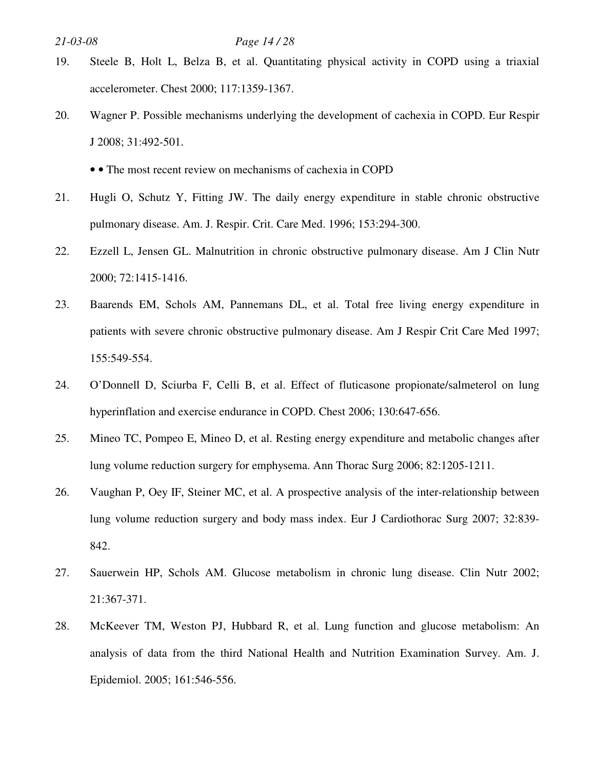- 19. Steele B, Holt L, Belza B, et al. Quantitating physical activity in COPD using a triaxial accelerometer. Chest 2000; 117:1359-1367.
- 20. Wagner P. Possible mechanisms underlying the development of cachexia in COPD. Eur Respir J 2008; 31:492-501.
	- • The most recent review on mechanisms of cachexia in COPD
- 21. Hugli O, Schutz Y, Fitting JW. The daily energy expenditure in stable chronic obstructive pulmonary disease. Am. J. Respir. Crit. Care Med. 1996; 153:294-300.
- 22. Ezzell L, Jensen GL. Malnutrition in chronic obstructive pulmonary disease. Am J Clin Nutr 2000; 72:1415-1416.
- 23. Baarends EM, Schols AM, Pannemans DL, et al. Total free living energy expenditure in patients with severe chronic obstructive pulmonary disease. Am J Respir Crit Care Med 1997; 155:549-554.
- 24. O'Donnell D, Sciurba F, Celli B, et al. Effect of fluticasone propionate/salmeterol on lung hyperinflation and exercise endurance in COPD. Chest 2006; 130:647-656.
- 25. Mineo TC, Pompeo E, Mineo D, et al. Resting energy expenditure and metabolic changes after lung volume reduction surgery for emphysema. Ann Thorac Surg 2006; 82:1205-1211.
- 26. Vaughan P, Oey IF, Steiner MC, et al. A prospective analysis of the inter-relationship between lung volume reduction surgery and body mass index. Eur J Cardiothorac Surg 2007; 32:839- 842.
- 27. Sauerwein HP, Schols AM. Glucose metabolism in chronic lung disease. Clin Nutr 2002; 21:367-371.
- 28. McKeever TM, Weston PJ, Hubbard R, et al. Lung function and glucose metabolism: An analysis of data from the third National Health and Nutrition Examination Survey. Am. J. Epidemiol. 2005; 161:546-556.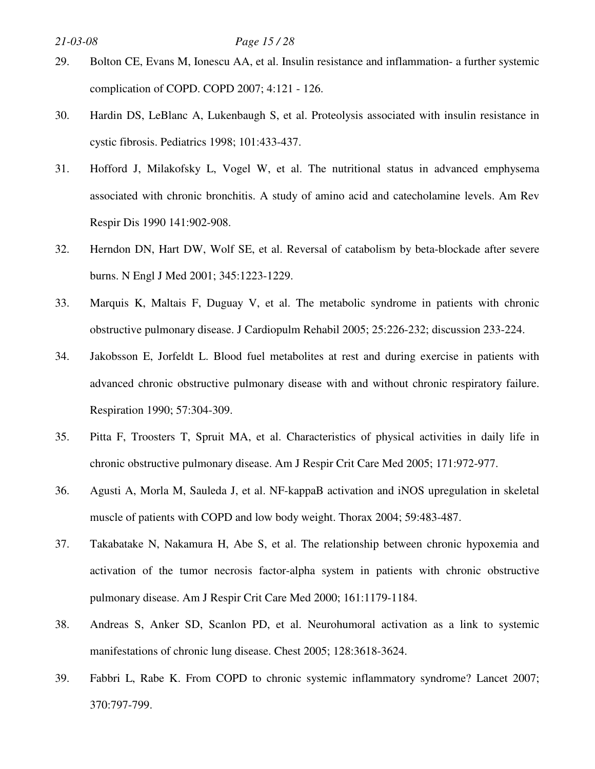## *21-03-08 Page 15 / 28*

- 29. Bolton CE, Evans M, Ionescu AA, et al. Insulin resistance and inflammation- a further systemic complication of COPD. COPD 2007; 4:121 - 126.
- 30. Hardin DS, LeBlanc A, Lukenbaugh S, et al. Proteolysis associated with insulin resistance in cystic fibrosis. Pediatrics 1998; 101:433-437.
- 31. Hofford J, Milakofsky L, Vogel W, et al. The nutritional status in advanced emphysema associated with chronic bronchitis. A study of amino acid and catecholamine levels. Am Rev Respir Dis 1990 141:902-908.
- 32. Herndon DN, Hart DW, Wolf SE, et al. Reversal of catabolism by beta-blockade after severe burns. N Engl J Med 2001; 345:1223-1229.
- 33. Marquis K, Maltais F, Duguay V, et al. The metabolic syndrome in patients with chronic obstructive pulmonary disease. J Cardiopulm Rehabil 2005; 25:226-232; discussion 233-224.
- 34. Jakobsson E, Jorfeldt L. Blood fuel metabolites at rest and during exercise in patients with advanced chronic obstructive pulmonary disease with and without chronic respiratory failure. Respiration 1990; 57:304-309.
- 35. Pitta F, Troosters T, Spruit MA, et al. Characteristics of physical activities in daily life in chronic obstructive pulmonary disease. Am J Respir Crit Care Med 2005; 171:972-977.
- 36. Agusti A, Morla M, Sauleda J, et al. NF-kappaB activation and iNOS upregulation in skeletal muscle of patients with COPD and low body weight. Thorax 2004; 59:483-487.
- 37. Takabatake N, Nakamura H, Abe S, et al. The relationship between chronic hypoxemia and activation of the tumor necrosis factor-alpha system in patients with chronic obstructive pulmonary disease. Am J Respir Crit Care Med 2000; 161:1179-1184.
- 38. Andreas S, Anker SD, Scanlon PD, et al. Neurohumoral activation as a link to systemic manifestations of chronic lung disease. Chest 2005; 128:3618-3624.
- 39. Fabbri L, Rabe K. From COPD to chronic systemic inflammatory syndrome? Lancet 2007; 370:797-799.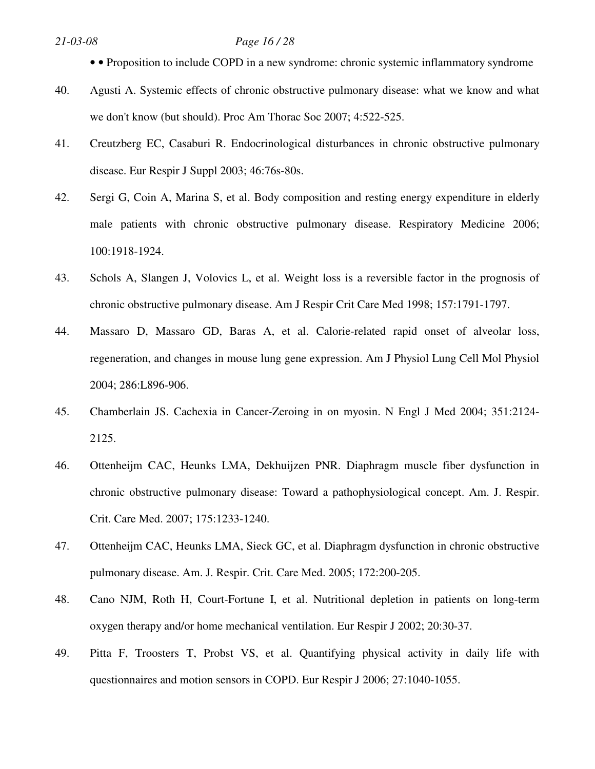## *21-03-08 Page 16 / 28*

- • Proposition to include COPD in a new syndrome: chronic systemic inflammatory syndrome
- 40. Agusti A. Systemic effects of chronic obstructive pulmonary disease: what we know and what we don't know (but should). Proc Am Thorac Soc 2007; 4:522-525.
- 41. Creutzberg EC, Casaburi R. Endocrinological disturbances in chronic obstructive pulmonary disease. Eur Respir J Suppl 2003; 46:76s-80s.
- 42. Sergi G, Coin A, Marina S, et al. Body composition and resting energy expenditure in elderly male patients with chronic obstructive pulmonary disease. Respiratory Medicine 2006; 100:1918-1924.
- 43. Schols A, Slangen J, Volovics L, et al. Weight loss is a reversible factor in the prognosis of chronic obstructive pulmonary disease. Am J Respir Crit Care Med 1998; 157:1791-1797.
- 44. Massaro D, Massaro GD, Baras A, et al. Calorie-related rapid onset of alveolar loss, regeneration, and changes in mouse lung gene expression. Am J Physiol Lung Cell Mol Physiol 2004; 286:L896-906.
- 45. Chamberlain JS. Cachexia in Cancer-Zeroing in on myosin. N Engl J Med 2004; 351:2124- 2125.
- 46. Ottenheijm CAC, Heunks LMA, Dekhuijzen PNR. Diaphragm muscle fiber dysfunction in chronic obstructive pulmonary disease: Toward a pathophysiological concept. Am. J. Respir. Crit. Care Med. 2007; 175:1233-1240.
- 47. Ottenheijm CAC, Heunks LMA, Sieck GC, et al. Diaphragm dysfunction in chronic obstructive pulmonary disease. Am. J. Respir. Crit. Care Med. 2005; 172:200-205.
- 48. Cano NJM, Roth H, Court-Fortune I, et al. Nutritional depletion in patients on long-term oxygen therapy and/or home mechanical ventilation. Eur Respir J 2002; 20:30-37.
- 49. Pitta F, Troosters T, Probst VS, et al. Quantifying physical activity in daily life with questionnaires and motion sensors in COPD. Eur Respir J 2006; 27:1040-1055.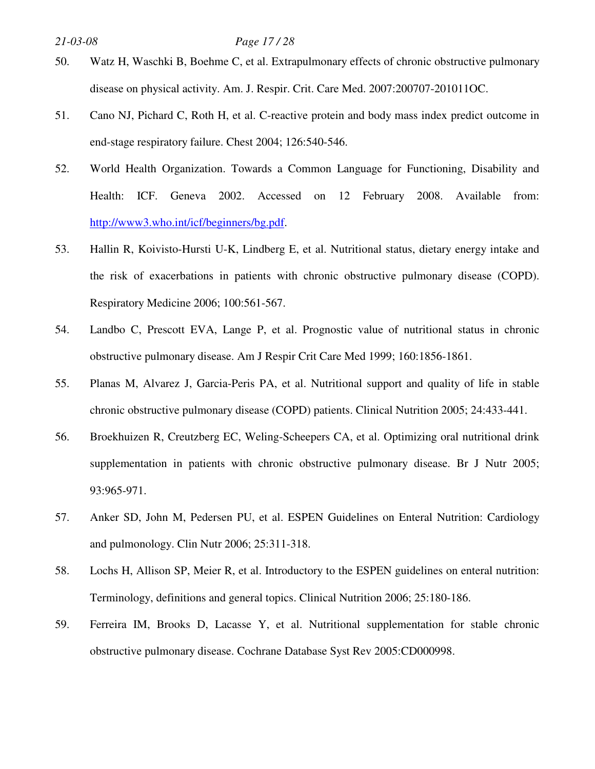## *21-03-08 Page 17 / 28*

- 50. Watz H, Waschki B, Boehme C, et al. Extrapulmonary effects of chronic obstructive pulmonary disease on physical activity. Am. J. Respir. Crit. Care Med. 2007:200707-201011OC.
- 51. Cano NJ, Pichard C, Roth H, et al. C-reactive protein and body mass index predict outcome in end-stage respiratory failure. Chest 2004; 126:540-546.
- 52. World Health Organization. Towards a Common Language for Functioning, Disability and Health: ICF. Geneva 2002. Accessed on 12 February 2008. Available from: http://www3.who.int/icf/beginners/bg.pdf.
- 53. Hallin R, Koivisto-Hursti U-K, Lindberg E, et al. Nutritional status, dietary energy intake and the risk of exacerbations in patients with chronic obstructive pulmonary disease (COPD). Respiratory Medicine 2006; 100:561-567.
- 54. Landbo C, Prescott EVA, Lange P, et al. Prognostic value of nutritional status in chronic obstructive pulmonary disease. Am J Respir Crit Care Med 1999; 160:1856-1861.
- 55. Planas M, Alvarez J, Garcia-Peris PA, et al. Nutritional support and quality of life in stable chronic obstructive pulmonary disease (COPD) patients. Clinical Nutrition 2005; 24:433-441.
- 56. Broekhuizen R, Creutzberg EC, Weling-Scheepers CA, et al. Optimizing oral nutritional drink supplementation in patients with chronic obstructive pulmonary disease. Br J Nutr 2005; 93:965-971.
- 57. Anker SD, John M, Pedersen PU, et al. ESPEN Guidelines on Enteral Nutrition: Cardiology and pulmonology. Clin Nutr 2006; 25:311-318.
- 58. Lochs H, Allison SP, Meier R, et al. Introductory to the ESPEN guidelines on enteral nutrition: Terminology, definitions and general topics. Clinical Nutrition 2006; 25:180-186.
- 59. Ferreira IM, Brooks D, Lacasse Y, et al. Nutritional supplementation for stable chronic obstructive pulmonary disease. Cochrane Database Syst Rev 2005:CD000998.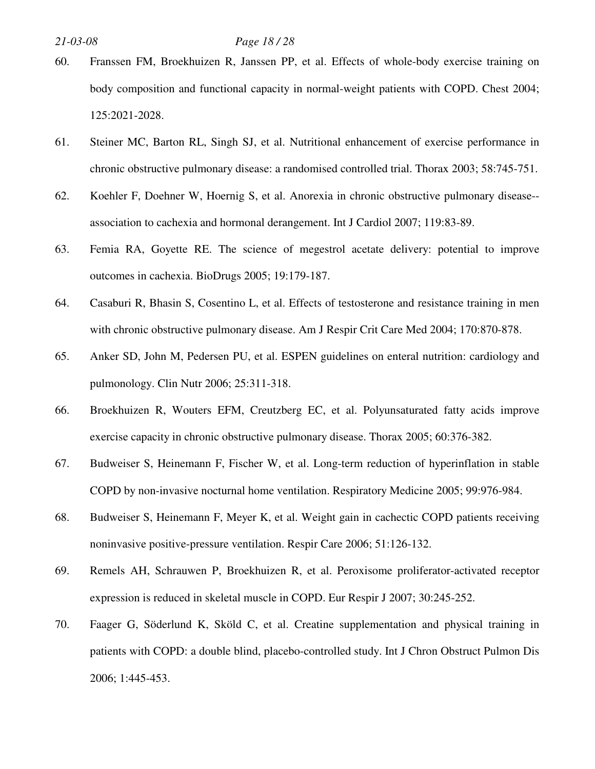## *21-03-08 Page 18 / 28*

- 60. Franssen FM, Broekhuizen R, Janssen PP, et al. Effects of whole-body exercise training on body composition and functional capacity in normal-weight patients with COPD. Chest 2004; 125:2021-2028.
- 61. Steiner MC, Barton RL, Singh SJ, et al. Nutritional enhancement of exercise performance in chronic obstructive pulmonary disease: a randomised controlled trial. Thorax 2003; 58:745-751.
- 62. Koehler F, Doehner W, Hoernig S, et al. Anorexia in chronic obstructive pulmonary disease- association to cachexia and hormonal derangement. Int J Cardiol 2007; 119:83-89.
- 63. Femia RA, Goyette RE. The science of megestrol acetate delivery: potential to improve outcomes in cachexia. BioDrugs 2005; 19:179-187.
- 64. Casaburi R, Bhasin S, Cosentino L, et al. Effects of testosterone and resistance training in men with chronic obstructive pulmonary disease. Am J Respir Crit Care Med 2004; 170:870-878.
- 65. Anker SD, John M, Pedersen PU, et al. ESPEN guidelines on enteral nutrition: cardiology and pulmonology. Clin Nutr 2006; 25:311-318.
- 66. Broekhuizen R, Wouters EFM, Creutzberg EC, et al. Polyunsaturated fatty acids improve exercise capacity in chronic obstructive pulmonary disease. Thorax 2005; 60:376-382.
- 67. Budweiser S, Heinemann F, Fischer W, et al. Long-term reduction of hyperinflation in stable COPD by non-invasive nocturnal home ventilation. Respiratory Medicine 2005; 99:976-984.
- 68. Budweiser S, Heinemann F, Meyer K, et al. Weight gain in cachectic COPD patients receiving noninvasive positive-pressure ventilation. Respir Care 2006; 51:126-132.
- 69. Remels AH, Schrauwen P, Broekhuizen R, et al. Peroxisome proliferator-activated receptor expression is reduced in skeletal muscle in COPD. Eur Respir J 2007; 30:245-252.
- 70. Faager G, Söderlund K, Sköld C, et al. Creatine supplementation and physical training in patients with COPD: a double blind, placebo-controlled study. Int J Chron Obstruct Pulmon Dis 2006; 1:445-453.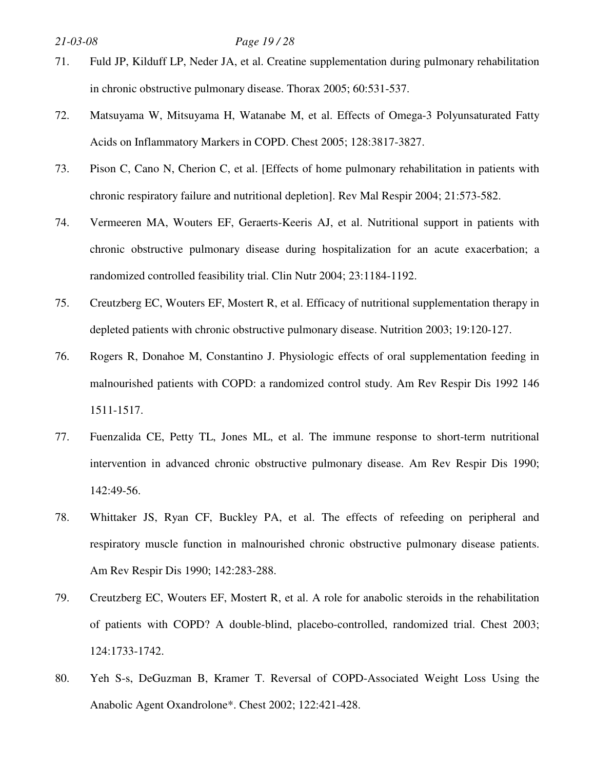## *21-03-08 Page 19 / 28*

- 71. Fuld JP, Kilduff LP, Neder JA, et al. Creatine supplementation during pulmonary rehabilitation in chronic obstructive pulmonary disease. Thorax 2005; 60:531-537.
- 72. Matsuyama W, Mitsuyama H, Watanabe M, et al. Effects of Omega-3 Polyunsaturated Fatty Acids on Inflammatory Markers in COPD. Chest 2005; 128:3817-3827.
- 73. Pison C, Cano N, Cherion C, et al. [Effects of home pulmonary rehabilitation in patients with chronic respiratory failure and nutritional depletion]. Rev Mal Respir 2004; 21:573-582.
- 74. Vermeeren MA, Wouters EF, Geraerts-Keeris AJ, et al. Nutritional support in patients with chronic obstructive pulmonary disease during hospitalization for an acute exacerbation; a randomized controlled feasibility trial. Clin Nutr 2004; 23:1184-1192.
- 75. Creutzberg EC, Wouters EF, Mostert R, et al. Efficacy of nutritional supplementation therapy in depleted patients with chronic obstructive pulmonary disease. Nutrition 2003; 19:120-127.
- 76. Rogers R, Donahoe M, Constantino J. Physiologic effects of oral supplementation feeding in malnourished patients with COPD: a randomized control study. Am Rev Respir Dis 1992 146 1511-1517.
- 77. Fuenzalida CE, Petty TL, Jones ML, et al. The immune response to short-term nutritional intervention in advanced chronic obstructive pulmonary disease. Am Rev Respir Dis 1990; 142:49-56.
- 78. Whittaker JS, Ryan CF, Buckley PA, et al. The effects of refeeding on peripheral and respiratory muscle function in malnourished chronic obstructive pulmonary disease patients. Am Rev Respir Dis 1990; 142:283-288.
- 79. Creutzberg EC, Wouters EF, Mostert R, et al. A role for anabolic steroids in the rehabilitation of patients with COPD? A double-blind, placebo-controlled, randomized trial. Chest 2003; 124:1733-1742.
- 80. Yeh S-s, DeGuzman B, Kramer T. Reversal of COPD-Associated Weight Loss Using the Anabolic Agent Oxandrolone\*. Chest 2002; 122:421-428.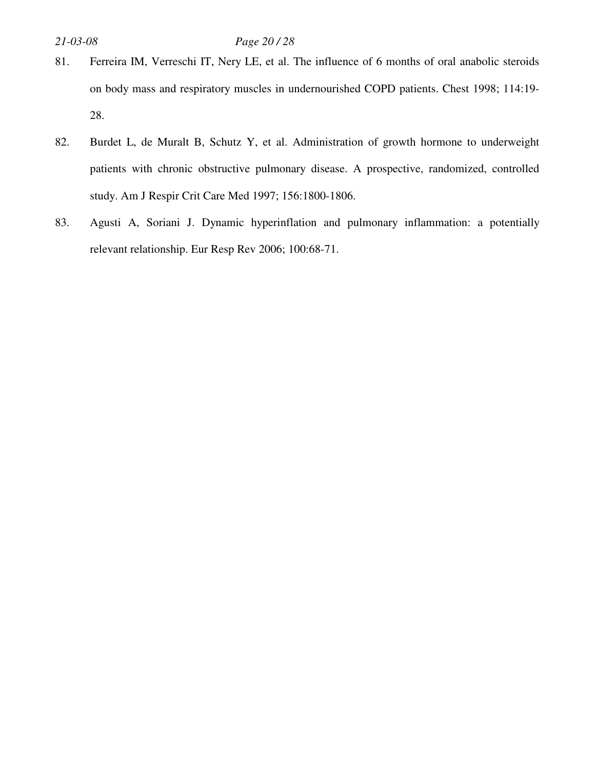## *21-03-08 Page 20 / 28*

- 81. Ferreira IM, Verreschi IT, Nery LE, et al. The influence of 6 months of oral anabolic steroids on body mass and respiratory muscles in undernourished COPD patients. Chest 1998; 114:19- 28.
- 82. Burdet L, de Muralt B, Schutz Y, et al. Administration of growth hormone to underweight patients with chronic obstructive pulmonary disease. A prospective, randomized, controlled study. Am J Respir Crit Care Med 1997; 156:1800-1806.
- 83. Agusti A, Soriani J. Dynamic hyperinflation and pulmonary inflammation: a potentially relevant relationship. Eur Resp Rev 2006; 100:68-71.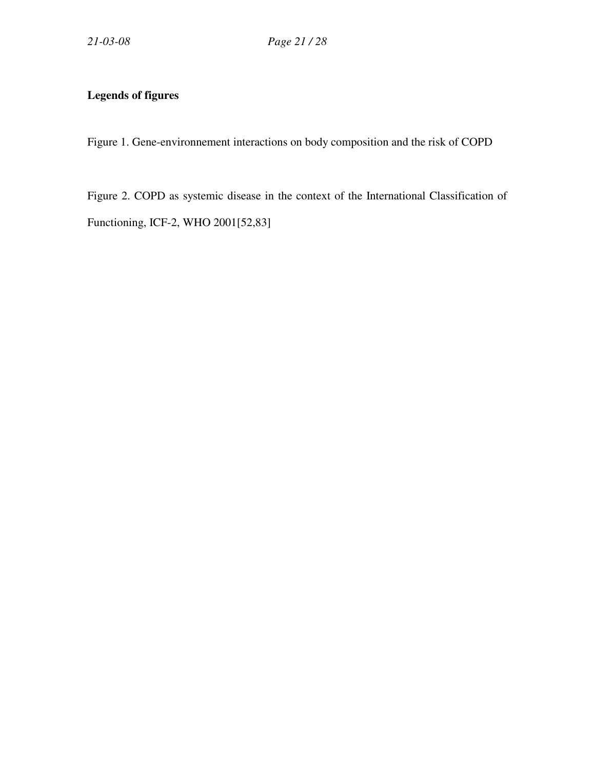## **Legends of figures**

Figure 1. Gene-environnement interactions on body composition and the risk of COPD

Figure 2. COPD as systemic disease in the context of the International Classification of Functioning, ICF-2, WHO 2001[52,83]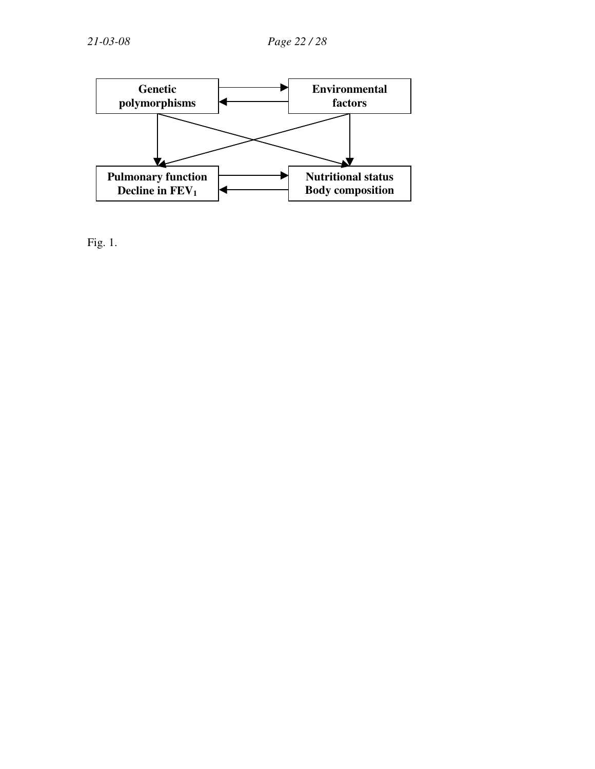

Fig. 1.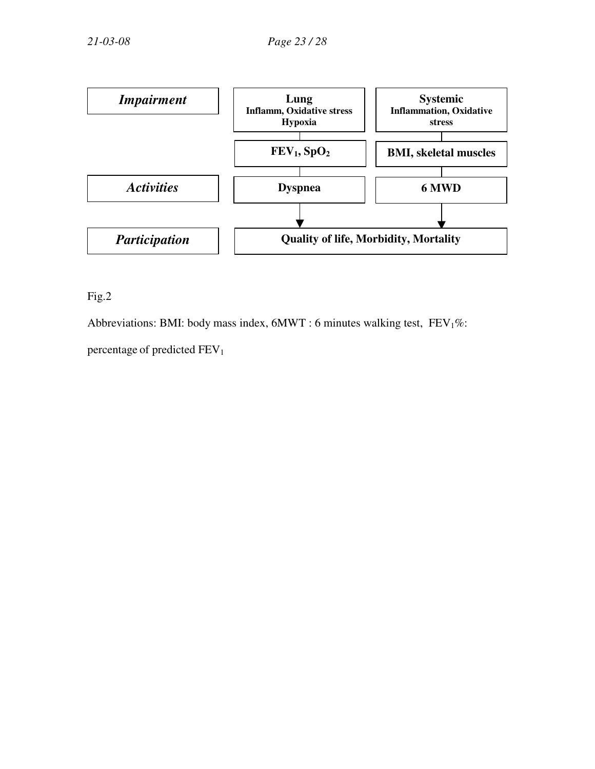

Fig.2

Abbreviations: BMI: body mass index,  $6MWT : 6$  minutes walking test,  $FEV<sub>1</sub>%$ :

percentage of predicted FEV<sub>1</sub>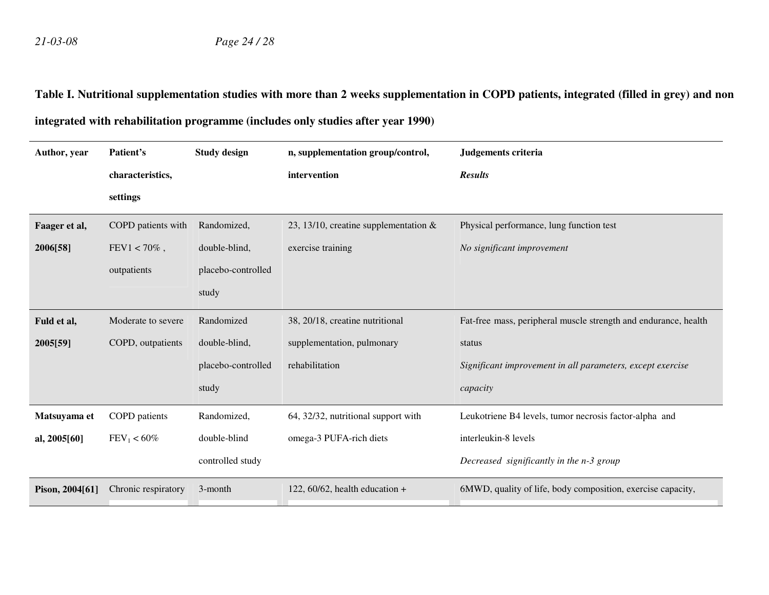# **Table I. Nutritional supplementation studies with more than 2 weeks supplementation in COPD patients, integrated (filled in grey) and non integrated with rehabilitation programme (includes only studies after year 1990)**

| Author, year    | Patient's            | <b>Study design</b> | n, supplementation group/control,        | Judgements criteria                                             |
|-----------------|----------------------|---------------------|------------------------------------------|-----------------------------------------------------------------|
|                 | characteristics,     |                     | intervention                             | <b>Results</b>                                                  |
|                 | settings             |                     |                                          |                                                                 |
| Faager et al,   | COPD patients with   | Randomized,         | 23, 13/10, creatine supplementation $\&$ | Physical performance, lung function test                        |
| 2006[58]        | $FEV1 < 70\%$ ,      | double-blind,       | exercise training                        | No significant improvement                                      |
|                 | outpatients          | placebo-controlled  |                                          |                                                                 |
|                 |                      | study               |                                          |                                                                 |
| Fuld et al,     | Moderate to severe   | Randomized          | 38, 20/18, creatine nutritional          | Fat-free mass, peripheral muscle strength and endurance, health |
| 2005[59]        | COPD, outpatients    | double-blind,       | supplementation, pulmonary               | status                                                          |
|                 |                      | placebo-controlled  | rehabilitation                           | Significant improvement in all parameters, except exercise      |
|                 |                      | study               |                                          | capacity                                                        |
| Matsuyama et    | <b>COPD</b> patients | Randomized,         | 64, 32/32, nutritional support with      | Leukotriene B4 levels, tumor necrosis factor-alpha and          |
| al, 2005[60]    | $FEV_1 < 60\%$       | double-blind        | omega-3 PUFA-rich diets                  | interleukin-8 levels                                            |
|                 |                      | controlled study    |                                          | Decreased significantly in the n-3 group                        |
| Pison, 2004[61] | Chronic respiratory  | 3-month             | 122, 60/62, health education $+$         | 6MWD, quality of life, body composition, exercise capacity,     |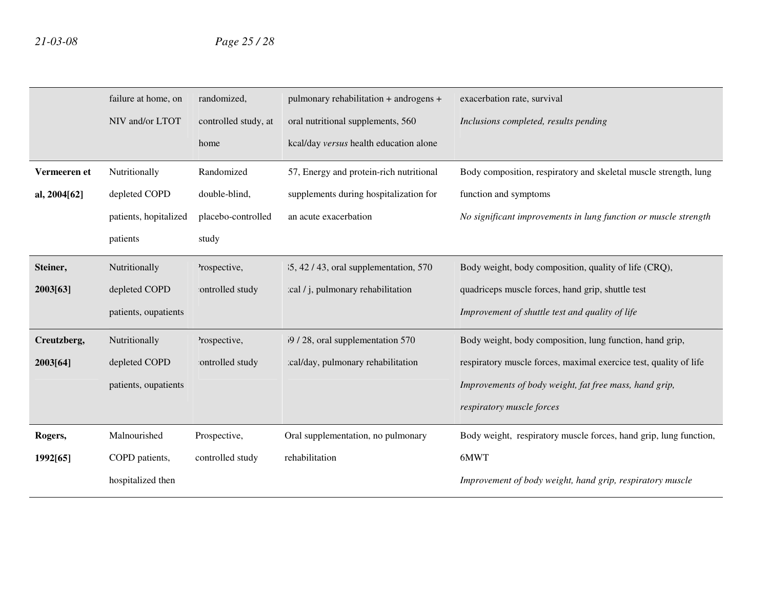|              | failure at home, on   | randomized,          | pulmonary rehabilitation + androgens +    | exacerbation rate, survival                                       |
|--------------|-----------------------|----------------------|-------------------------------------------|-------------------------------------------------------------------|
|              | NIV and/or LTOT       | controlled study, at | oral nutritional supplements, 560         | Inclusions completed, results pending                             |
|              |                       | home                 | kcal/day versus health education alone    |                                                                   |
| Vermeeren et | Nutritionally         | Randomized           | 57, Energy and protein-rich nutritional   | Body composition, respiratory and skeletal muscle strength, lung  |
| al, 2004[62] | depleted COPD         | double-blind,        | supplements during hospitalization for    | function and symptoms                                             |
|              | patients, hopitalized | placebo-controlled   | an acute exacerbation                     | No significant improvements in lung function or muscle strength   |
|              | patients              | study                |                                           |                                                                   |
| Steiner,     | Nutritionally         | 'rospective,         | $35, 42 / 43$ , oral supplementation, 570 | Body weight, body composition, quality of life (CRQ),             |
| 2003[63]     | depleted COPD         | ontrolled study      | cal / j, pulmonary rehabilitation         | quadriceps muscle forces, hand grip, shuttle test                 |
|              | patients, oupatients  |                      |                                           | Improvement of shuttle test and quality of life                   |
| Creutzberg,  | Nutritionally         | 'rospective,         | 59 / 28, oral supplementation 570         | Body weight, body composition, lung function, hand grip,          |
| 2003[64]     | depleted COPD         | ontrolled study      | :cal/day, pulmonary rehabilitation        | respiratory muscle forces, maximal exercice test, quality of life |
|              | patients, oupatients  |                      |                                           | Improvements of body weight, fat free mass, hand grip,            |
|              |                       |                      |                                           | respiratory muscle forces                                         |
| Rogers,      | Malnourished          | Prospective,         | Oral supplementation, no pulmonary        | Body weight, respiratory muscle forces, hand grip, lung function, |
| 1992[65]     | COPD patients,        | controlled study     | rehabilitation                            | 6MWT                                                              |
|              | hospitalized then     |                      |                                           | Improvement of body weight, hand grip, respiratory muscle         |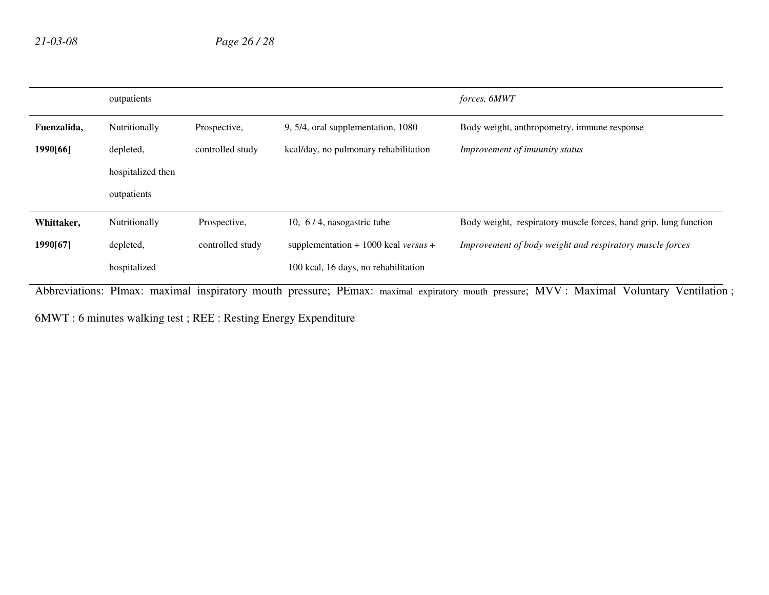|             | outpatients       |                  |                                             | forces, 6MWT                                                     |
|-------------|-------------------|------------------|---------------------------------------------|------------------------------------------------------------------|
| Fuenzalida, | Nutritionally     | Prospective,     | 9, 5/4, oral supplementation, 1080          | Body weight, anthropometry, immune response                      |
| 1990[66]    | depleted,         | controlled study | kcal/day, no pulmonary rehabilitation       | Improvement of imuunity status                                   |
|             | hospitalized then |                  |                                             |                                                                  |
|             | outpatients       |                  |                                             |                                                                  |
| Whittaker,  | Nutritionally     | Prospective,     | 10, $6/4$ , nasogastric tube                | Body weight, respiratory muscle forces, hand grip, lung function |
| 1990[67]    | depleted,         | controlled study | supplementation + 1000 kcal <i>versus</i> + | Improvement of body weight and respiratory muscle forces         |
|             | hospitalized      |                  | 100 kcal, 16 days, no rehabilitation        |                                                                  |

Abbreviations: PImax: maximal inspiratory mouth pressure; PEmax: maximal expiratory mouth pressure; MVV : Maximal Voluntary Ventilation ;

6MWT : 6 minutes walking test ; REE : Resting Energy Expenditure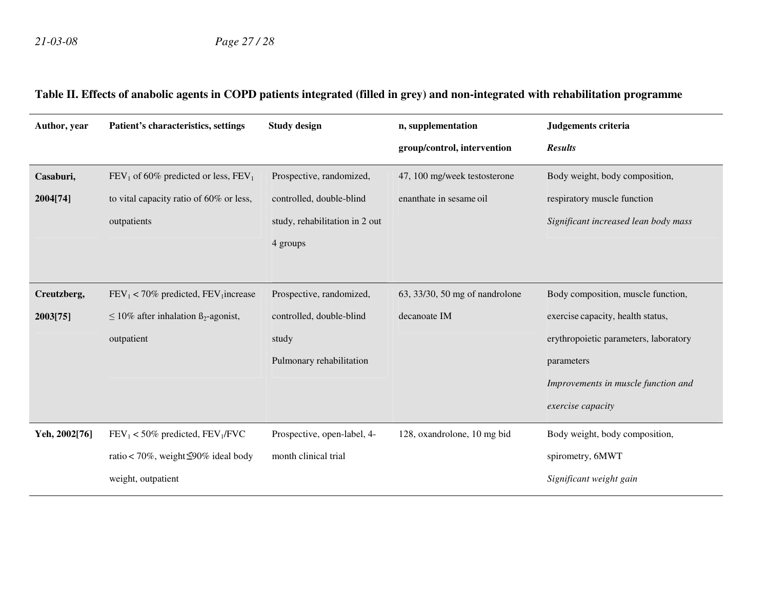## **Table II. Effects of anabolic agents in COPD patients integrated (filled in grey) and non-integrated with rehabilitation programme**

| Author, year  | Patient's characteristics, settings              | <b>Study design</b>            | n, supplementation             | Judgements criteria                   |
|---------------|--------------------------------------------------|--------------------------------|--------------------------------|---------------------------------------|
|               |                                                  |                                | group/control, intervention    | <b>Results</b>                        |
| Casaburi,     | $FEV1$ of 60% predicted or less, $FEV1$          | Prospective, randomized,       | 47, 100 mg/week testosterone   | Body weight, body composition,        |
| 2004[74]      | to vital capacity ratio of 60% or less,          | controlled, double-blind       | enanthate in sesame oil        | respiratory muscle function           |
|               | outpatients                                      | study, rehabilitation in 2 out |                                | Significant increased lean body mass  |
|               |                                                  | 4 groups                       |                                |                                       |
|               |                                                  |                                |                                |                                       |
| Creutzberg,   | $FEV_1$ < 70% predicted, $FEV_1$ increase        | Prospective, randomized,       | 63, 33/30, 50 mg of nandrolone | Body composition, muscle function,    |
| 2003[75]      | $\leq 10\%$ after inhalation $\beta_2$ -agonist, | controlled, double-blind       | decanoate IM                   | exercise capacity, health status,     |
|               | outpatient                                       | study                          |                                | erythropoietic parameters, laboratory |
|               |                                                  | Pulmonary rehabilitation       |                                | parameters                            |
|               |                                                  |                                |                                | Improvements in muscle function and   |
|               |                                                  |                                |                                | exercise capacity                     |
| Yeh, 2002[76] | $FEV_1 < 50\%$ predicted, $FEV_1/FVC$            | Prospective, open-label, 4-    | 128, oxandrolone, 10 mg bid    | Body weight, body composition,        |
|               | ratio < 70%, weight $\leq 90\%$ ideal body       | month clinical trial           |                                | spirometry, 6MWT                      |
|               | weight, outpatient                               |                                |                                | Significant weight gain               |